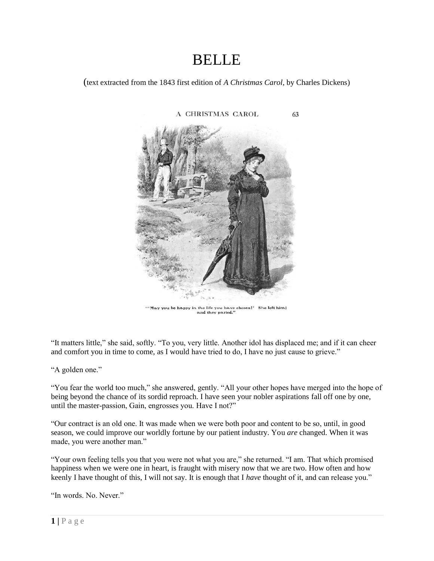## **BELLE**

(text extracted from the 1843 first edition of *A Christmas Carol*, by Charles Dickens)



" May you be happy in the life you have chosen!" She left him;<br>and they parted,"

"It matters little," she said, softly. "To you, very little. Another idol has displaced me; and if it can cheer and comfort you in time to come, as I would have tried to do, I have no just cause to grieve."

"A golden one."

"You fear the world too much," she answered, gently. "All your other hopes have merged into the hope of being beyond the chance of its sordid reproach. I have seen your nobler aspirations fall off one by one, until the master-passion, Gain, engrosses you. Have I not?"

"Our contract is an old one. It was made when we were both poor and content to be so, until, in good season, we could improve our worldly fortune by our patient industry. You *are* changed. When it was made, you were another man."

"Your own feeling tells you that you were not what you are," she returned. "I am. That which promised happiness when we were one in heart, is fraught with misery now that we are two. How often and how keenly I have thought of this, I will not say. It is enough that I *have* thought of it, and can release you."

"In words. No. Never."